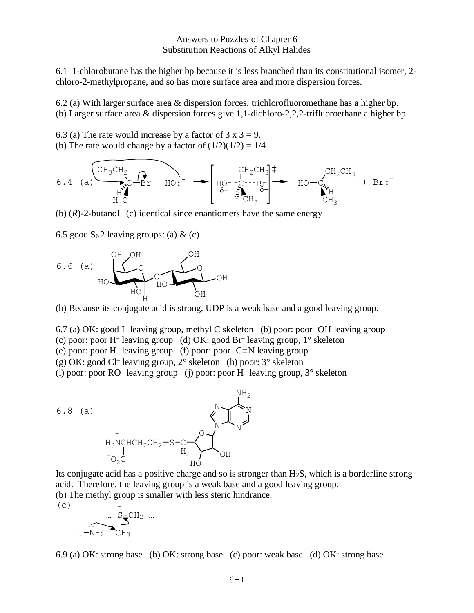## Answers to Puzzles of Chapter 6 Substitution Reactions of Alkyl Halides

6.1 1-chlorobutane has the higher bp because it is less branched than its constitutional isomer, 2 chloro-2-methylpropane, and so has more surface area and more dispersion forces.

6.2 (a) With larger surface area & dispersion forces, trichlorofluoromethane has a higher bp. (b) Larger surface area & dispersion forces give 1,1-dichloro-2,2,2-trifluoroethane a higher bp.

6.3 (a) The rate would increase by a factor of  $3 \times 3 = 9$ . (b) The rate would change by a factor of  $(1/2)(1/2) = 1/4$ 



(b)  $(R)$ -2-butanol (c) identical since enantiomers have the same energy

6.5 good  $S_N$ 2 leaving groups: (a) & (c)



(b) Because its conjugate acid is strong, UDP is a weak base and a good leaving group.

6.7 (a) OK: good I – leaving group, methyl C skeleton (b) poor: poor –OH leaving group

(c) poor: poor H– leaving group (d) OK: good Br– leaving group, 1° skeleton

(e) poor: poor H– leaving group (f) poor: poor –C≡N leaving group

(g) OK: good Cl– leaving group, 2° skeleton (h) poor: 3° skeleton

(i) poor: poor RO– leaving group (j) poor: poor H– leaving group, 3° skeleton



Its conjugate acid has a positive charge and so is stronger than H2S, which is a borderline strong acid. Therefore, the leaving group is a weak base and a good leaving group. (b) The methyl group is smaller with less steric hindrance.

 $(c)$  +

 $...-S=CH_2-...$  $\sim$ . $\sim$  $...$ -NH<sub>2</sub> CH<sub>3</sub>

6.9 (a) OK: strong base (b) OK: strong base (c) poor: weak base (d) OK: strong base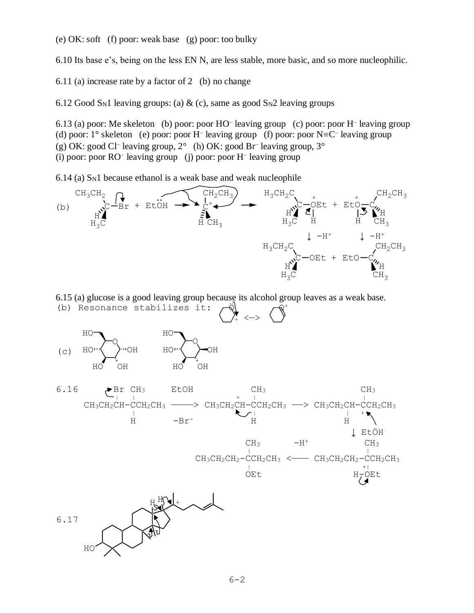(e) OK: soft (f) poor: weak base (g) poor: too bulky

6.10 Its base e's, being on the less EN N, are less stable, more basic, and so more nucleophilic.

6.11 (a) increase rate by a factor of 2 (b) no change

6.12 Good S<sub>N</sub>1 leaving groups: (a) & (c), same as good S<sub>N</sub>2 leaving groups

6.13 (a) poor: Me skeleton (b) poor: poor HO– leaving group (c) poor: poor H– leaving group (d) poor:  $1^{\circ}$  skeleton (e) poor: poor H<sup>-</sup> leaving group (f) poor: poor N=C<sup>-</sup> leaving group (g) OK: good Cl<sup>-</sup> leaving group,  $2^{\circ}$  (h) OK: good Br<sup>-</sup> leaving group,  $3^{\circ}$ (i) poor: poor RO– leaving group (j) poor: poor H– leaving group

6.14 (a) SN1 because ethanol is a weak base and weak nucleophile



6.15 (a) glucose is a good leaving group because its alcohol group leaves as a weak base.





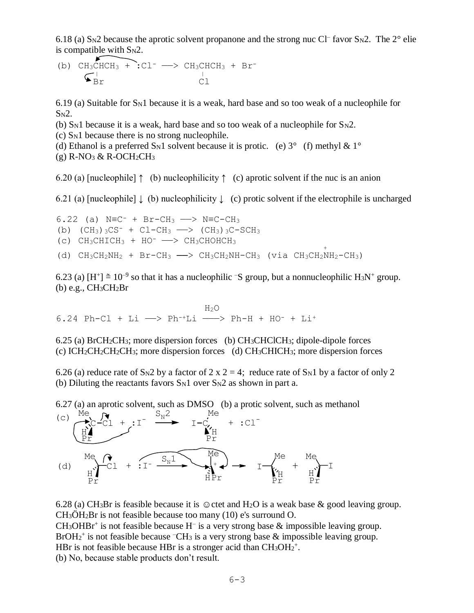6.18 (a)  $S_N$ 2 because the aprotic solvent propanone and the strong nuc Cl<sup>-</sup> favor  $S_N$ 2. The 2<sup>°</sup> elie is compatible with  $S_N2$ .

(b) 
$$
CH_3CHCH_3 + C1^- \longrightarrow CH_3CHCH_3 + Br^-
$$
  
\n $Ch_2$   
\n $Cl^-$   
\n $Cl$   
\n $Cl$   
\n $Cl$   
\n $Cl$ 

6.19 (a) Suitable for  $S_N1$  because it is a weak, hard base and so too weak of a nucleophile for  $S<sub>N</sub>2$ .

- (b) S<sub>N</sub>1 because it is a weak, hard base and so too weak of a nucleophile for  $S_{N2}$ .
- (c) SN1 because there is no strong nucleophile.
- (d) Ethanol is a preferred S<sub>N</sub>1 solvent because it is protic. (e)  $3^{\circ}$  (f) methyl &  $1^{\circ}$  $(g)$  R-NO<sub>3</sub> & R-OCH<sub>2</sub>CH<sub>3</sub>

6.20 (a) [nucleophile]  $\uparrow$  (b) nucleophilicity  $\uparrow$  (c) aprotic solvent if the nuc is an anion

6.21 (a) [nucleophile]  $\downarrow$  (b) nucleophilicity  $\downarrow$  (c) protic solvent if the electrophile is uncharged

6.22 (a)  $N \equiv C^- + Br - CH_3 \longrightarrow N \equiv C - CH_3$ (b)  $(CH_3)$   $_3CS^-$  +  $Cl-CH_3$   $\longrightarrow$   $(CH_3)$   $_3C-SCH_3$ (c)  $CH_3CHICH_3 + HO^- \longrightarrow CH_3CHOHCH_3$  $\frac{1}{\sqrt{2}}$   $\frac{1}{\sqrt{2}}$   $\frac{1}{\sqrt{2}}$   $\frac{1}{\sqrt{2}}$   $\frac{1}{\sqrt{2}}$   $\frac{1}{\sqrt{2}}$   $\frac{1}{\sqrt{2}}$   $\frac{1}{\sqrt{2}}$   $\frac{1}{\sqrt{2}}$   $\frac{1}{\sqrt{2}}$   $\frac{1}{\sqrt{2}}$   $\frac{1}{\sqrt{2}}$   $\frac{1}{\sqrt{2}}$   $\frac{1}{\sqrt{2}}$   $\frac{1}{\sqrt{2}}$   $\frac{1}{\sqrt{2}}$   $\frac{1}{\sqrt{2}}$  (d)  $CH_3CH_2NH_2$  + Br-CH<sub>3</sub>  $\longrightarrow$  CH<sub>3</sub>CH<sub>2</sub>NH-CH<sub>3</sub> (via CH<sub>3</sub>CH<sub>2</sub>NH<sub>2</sub>-CH<sub>3</sub>)

6.23 (a)  $[H^+] \approx 10^{-9}$  so that it has a nucleophilic  $\overline{S}$  group, but a nonnucleophilic  $H_3N^+$  group. (b) e.g., CH3CH2Br

H<sub>2</sub>O 6.24 Ph-Cl + Li  $\longrightarrow$  Ph<sup>-+</sup>Li  $\longrightarrow$  Ph-H + HO<sup>-</sup> + Li<sup>+</sup>

6.25 (a) BrCH2CH3; more dispersion forces (b) CH3CHClCH3; dipole-dipole forces (c)  $ICH_2CH_2CH_3$ ; more dispersion forces (d)  $CH_3CHICH_3$ ; more dispersion forces

6.26 (a) reduce rate of S<sub>N</sub>2 by a factor of 2 x 2 = 4; reduce rate of S<sub>N</sub>1 by a factor of only 2 (b) Diluting the reactants favors  $S_N1$  over  $S_N2$  as shown in part a.

6.27 (a) an aprotic solvent, such as DMSO (b) a protic solvent, such as methanol Me Me  $\rm S_N2$ 



6.28 (a) CH<sub>3</sub>Br is feasible because it is  $\odot$  ctet and H<sub>2</sub>O is a weak base & good leaving group.  $CH<sub>3</sub>OH<sub>2</sub>Br$  is not feasible because too many (10) e's surround O.  $CH<sub>3</sub>OHBr<sup>+</sup>$  is not feasible because H<sup>-</sup> is a very strong base  $&$  impossible leaving group. BrOH<sub>2</sub><sup>+</sup> is not feasible because  $\text{-CH}_3$  is a very strong base & impossible leaving group. HBr is not feasible because HBr is a stronger acid than  $CH_3OH_2^+$ . (b) No, because stable products don't result.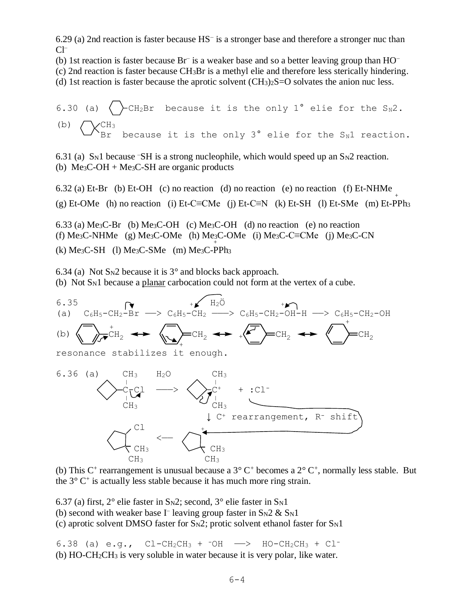6.29 (a) 2nd reaction is faster because HS– is a stronger base and therefore a stronger nuc than  $Cl^-$ 

(b) 1st reaction is faster because  $Br^-$  is a weaker base and so a better leaving group than  $HO^-$ 

(c) 2nd reaction is faster because CH3Br is a methyl elie and therefore less sterically hindering.

(d) 1st reaction is faster because the aprotic solvent  $(CH_3)_2S=O$  solvates the anion nuc less.

6.30 (a) 
$$
\triangle
$$
 CH<sub>2</sub>Br because it is the only 1° elie for the S<sub>N</sub>2.  
\n(b)  $\triangle$  CH<sub>3</sub> because it is the only 3° elie for the S<sub>N</sub>1 reaction.

6.31 (a) S<sub>N</sub>1 because  $\overline{\text{SH}}$  is a strong nucleophile, which would speed up an S<sub>N</sub>2 reaction. (b)  $Me<sub>3</sub>C-OH + Me<sub>3</sub>C-SH$  are organic products

6.32 (a) Et-Br (b) Et-OH (c) no reaction (d) no reaction (e) no reaction (f) Et-NHMe  $_{+}$ (g) Et-OMe (h) no reaction (i) Et-C≡CMe (j) Et-C≡N (k) Et-SH (l) Et-SMe (m) Et-PPh<sub>3</sub> 6.33 (a) Me<sub>3</sub>C-Br (b) Me<sub>3</sub>C-OH (c) Me<sub>3</sub>C-OH (d) no reaction (e) no reaction (f) Me<sub>3</sub>C-NHMe (g) Me<sub>3</sub>C-OMe (h) Me<sub>3</sub>C-OMe (i) Me<sub>3</sub>C-C≡CMe (j) Me<sub>3</sub>C-CN

 $(k)$  Me<sub>3</sub>C-SH (l) Me<sub>3</sub>C-SMe (m) Me<sub>3</sub>C-PPh<sub>3</sub>

6.34 (a) Not  $S_N$ 2 because it is 3 $\degree$  and blocks back approach. (b) Not SN1 because a planar carbocation could not form at the vertex of a cube.



(b) This  $C^+$  rearrangement is unusual because a  $3^{\circ}$   $C^+$  becomes a  $2^{\circ}$   $C^+$ , normally less stable. But the 3° C<sup>+</sup> is actually less stable because it has much more ring strain.

6.37 (a) first,  $2^{\circ}$  elie faster in S<sub>N</sub>2; second,  $3^{\circ}$  elie faster in S<sub>N</sub>1

(b) second with weaker base I<sup>-</sup> leaving group faster in  $S_N 2 \& S_N 1$ 

(c) aprotic solvent DMSO faster for  $S_N2$ ; protic solvent ethanol faster for  $S_N1$ 

6.38 (a) e.g.,  $CL-CH_2CH_3 + -OH \longrightarrow HO-CH_2CH_3 + Cl^-$ (b) HO-CH2CH<sup>3</sup> is very soluble in water because it is very polar, like water.